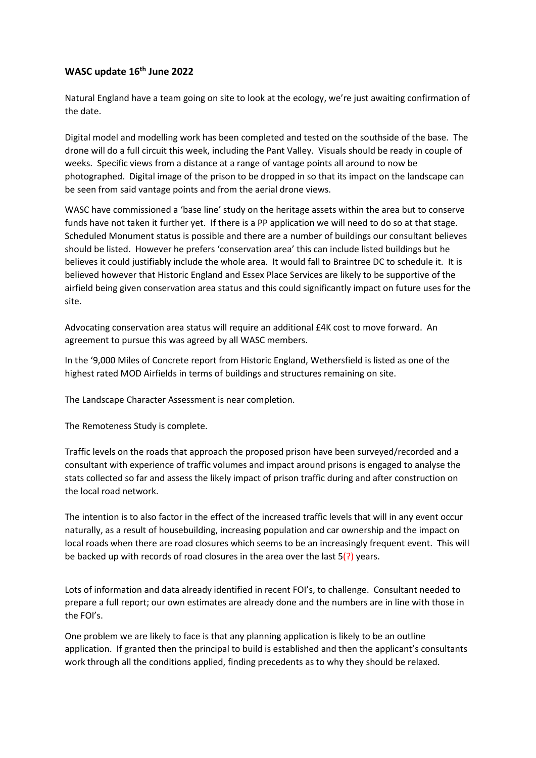## **WASC update 16 th June 2022**

Natural England have a team going on site to look at the ecology, we're just awaiting confirmation of the date.

Digital model and modelling work has been completed and tested on the southside of the base. The drone will do a full circuit this week, including the Pant Valley. Visuals should be ready in couple of weeks. Specific views from a distance at a range of vantage points all around to now be photographed. Digital image of the prison to be dropped in so that its impact on the landscape can be seen from said vantage points and from the aerial drone views.

WASC have commissioned a 'base line' study on the heritage assets within the area but to conserve funds have not taken it further yet. If there is a PP application we will need to do so at that stage. Scheduled Monument status is possible and there are a number of buildings our consultant believes should be listed. However he prefers 'conservation area' this can include listed buildings but he believes it could justifiably include the whole area. It would fall to Braintree DC to schedule it. It is believed however that Historic England and Essex Place Services are likely to be supportive of the airfield being given conservation area status and this could significantly impact on future uses for the site.

Advocating conservation area status will require an additional £4K cost to move forward. An agreement to pursue this was agreed by all WASC members.

In the '9,000 Miles of Concrete report from Historic England, Wethersfield is listed as one of the highest rated MOD Airfields in terms of buildings and structures remaining on site.

The Landscape Character Assessment is near completion.

The Remoteness Study is complete.

Traffic levels on the roads that approach the proposed prison have been surveyed/recorded and a consultant with experience of traffic volumes and impact around prisons is engaged to analyse the stats collected so far and assess the likely impact of prison traffic during and after construction on the local road network.

The intention is to also factor in the effect of the increased traffic levels that will in any event occur naturally, as a result of housebuilding, increasing population and car ownership and the impact on local roads when there are road closures which seems to be an increasingly frequent event. This will be backed up with records of road closures in the area over the last  $5(?)$  years.

Lots of information and data already identified in recent FOI's, to challenge. Consultant needed to prepare a full report; our own estimates are already done and the numbers are in line with those in the FOI's.

One problem we are likely to face is that any planning application is likely to be an outline application. If granted then the principal to build is established and then the applicant's consultants work through all the conditions applied, finding precedents as to why they should be relaxed.